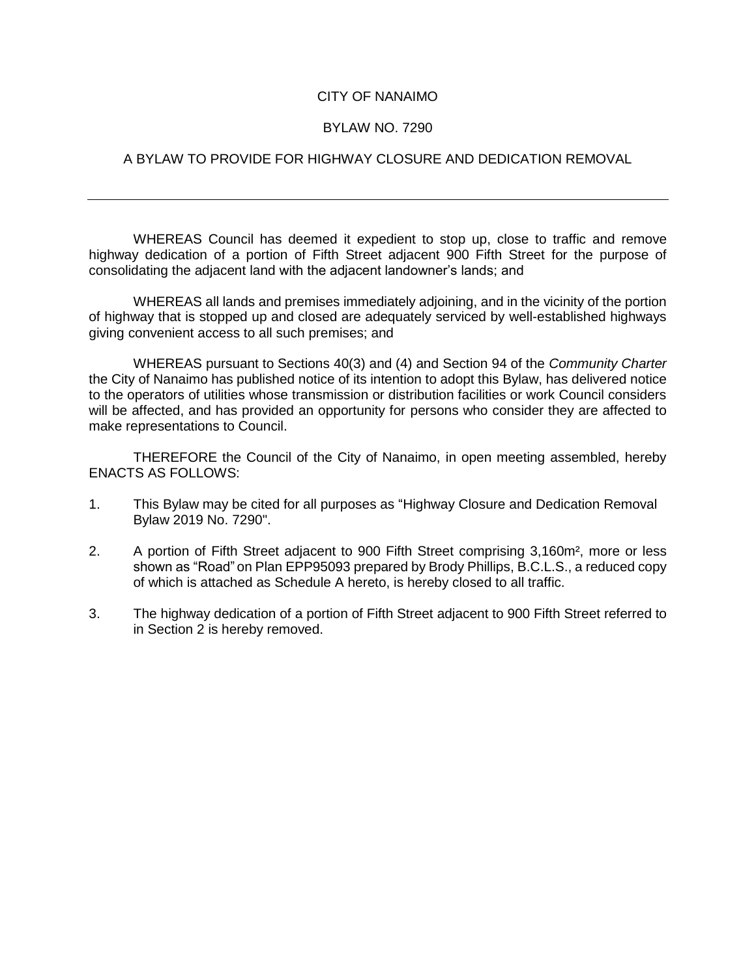## CITY OF NANAIMO

## BYLAW NO. 7290

## A BYLAW TO PROVIDE FOR HIGHWAY CLOSURE AND DEDICATION REMOVAL

WHEREAS Council has deemed it expedient to stop up, close to traffic and remove highway dedication of a portion of Fifth Street adjacent 900 Fifth Street for the purpose of consolidating the adjacent land with the adjacent landowner's lands; and

WHEREAS all lands and premises immediately adjoining, and in the vicinity of the portion of highway that is stopped up and closed are adequately serviced by well-established highways giving convenient access to all such premises; and

WHEREAS pursuant to Sections 40(3) and (4) and Section 94 of the *Community Charter* the City of Nanaimo has published notice of its intention to adopt this Bylaw, has delivered notice to the operators of utilities whose transmission or distribution facilities or work Council considers will be affected, and has provided an opportunity for persons who consider they are affected to make representations to Council.

THEREFORE the Council of the City of Nanaimo, in open meeting assembled, hereby ENACTS AS FOLLOWS:

- 1. This Bylaw may be cited for all purposes as "Highway Closure and Dedication Removal Bylaw 2019 No. 7290".
- 2. A portion of Fifth Street adjacent to 900 Fifth Street comprising 3,160m², more or less shown as "Road" on Plan EPP95093 prepared by Brody Phillips, B.C.L.S., a reduced copy of which is attached as Schedule A hereto, is hereby closed to all traffic.
- 3. The highway dedication of a portion of Fifth Street adjacent to 900 Fifth Street referred to in Section 2 is hereby removed.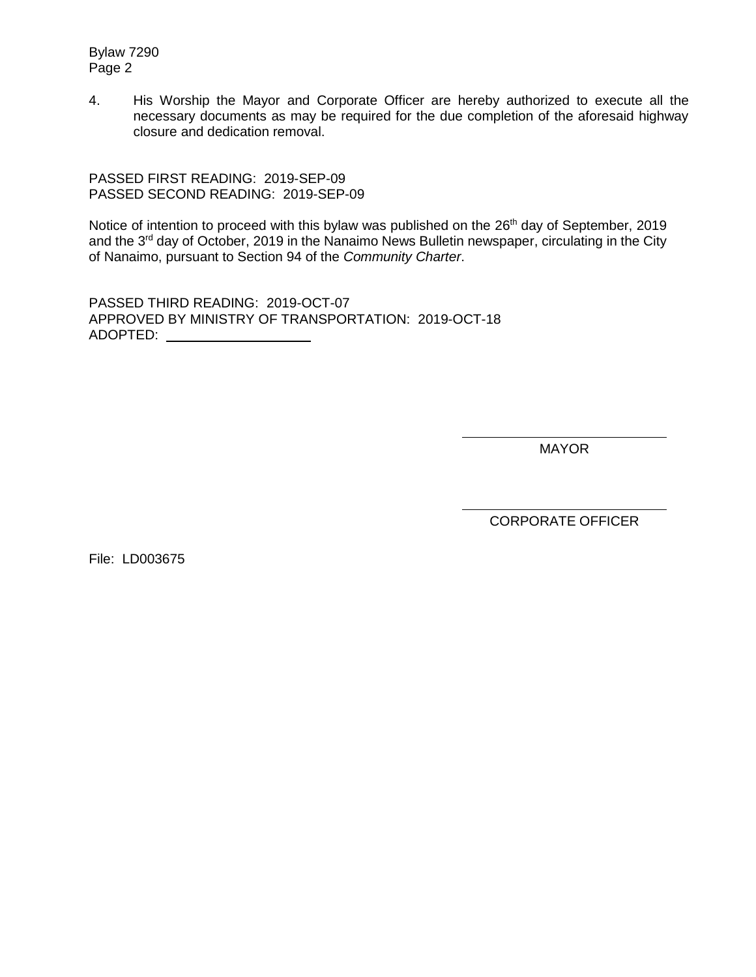Bylaw 7290 Page 2

4. His Worship the Mayor and Corporate Officer are hereby authorized to execute all the necessary documents as may be required for the due completion of the aforesaid highway closure and dedication removal.

PASSED FIRST READING: 2019-SEP-09 PASSED SECOND READING: 2019-SEP-09

Notice of intention to proceed with this bylaw was published on the 26<sup>th</sup> day of September, 2019 and the 3<sup>rd</sup> day of October, 2019 in the Nanaimo News Bulletin newspaper, circulating in the City of Nanaimo, pursuant to Section 94 of the *Community Charter*.

PASSED THIRD READING: 2019-OCT-07 APPROVED BY MINISTRY OF TRANSPORTATION: 2019-OCT-18 ADOPTED:

MAYOR

CORPORATE OFFICER

File: LD003675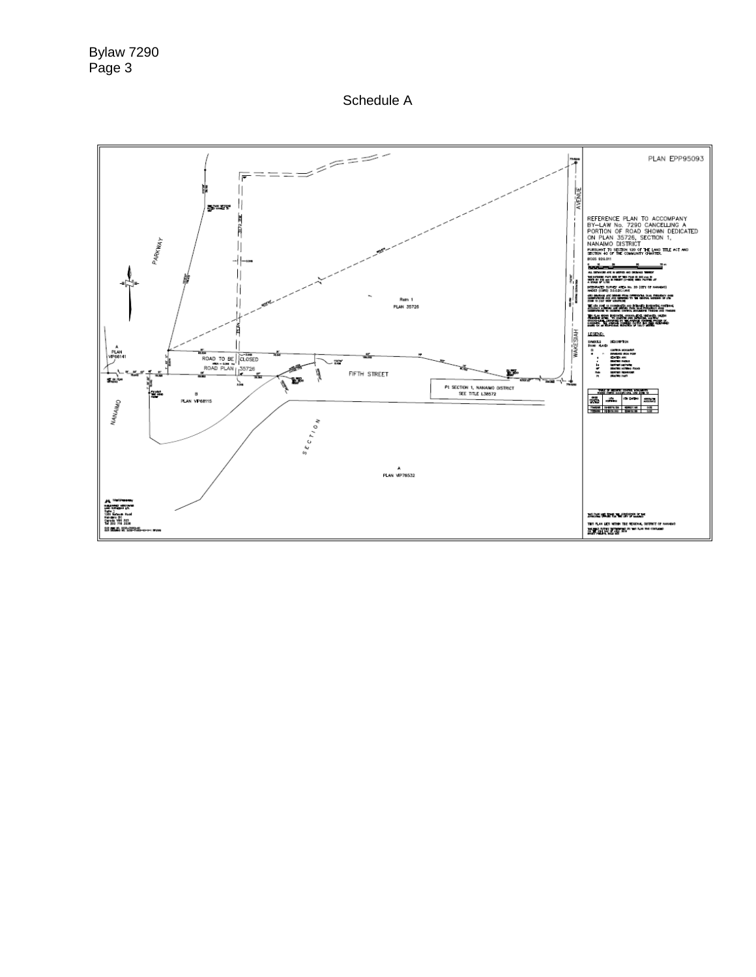Schedule A